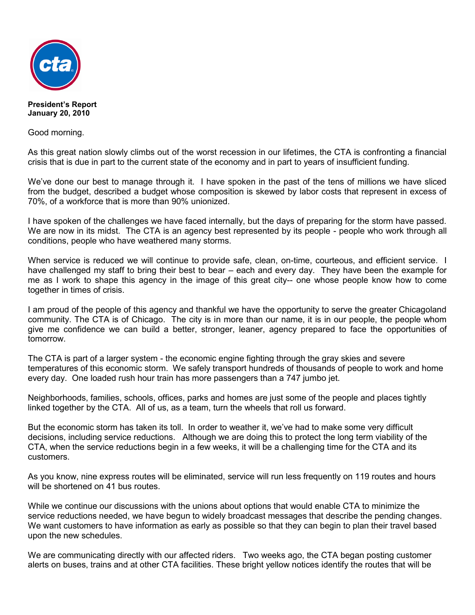

**President's Report January 20, 2010**

Good morning.

As this great nation slowly climbs out of the worst recession in our lifetimes, the CTA is confronting a financial crisis that is due in part to the current state of the economy and in part to years of insufficient funding.

We've done our best to manage through it. I have spoken in the past of the tens of millions we have sliced from the budget, described a budget whose composition is skewed by labor costs that represent in excess of 70%, of a workforce that is more than 90% unionized.

I have spoken of the challenges we have faced internally, but the days of preparing for the storm have passed. We are now in its midst. The CTA is an agency best represented by its people - people who work through all conditions, people who have weathered many storms.

When service is reduced we will continue to provide safe, clean, on-time, courteous, and efficient service. I have challenged my staff to bring their best to bear – each and every day. They have been the example for me as I work to shape this agency in the image of this great city-- one whose people know how to come together in times of crisis.

I am proud of the people of this agency and thankful we have the opportunity to serve the greater Chicagoland community. The CTA is of Chicago. The city is in more than our name, it is in our people, the people whom give me confidence we can build a better, stronger, leaner, agency prepared to face the opportunities of tomorrow.

The CTA is part of a larger system - the economic engine fighting through the gray skies and severe temperatures of this economic storm. We safely transport hundreds of thousands of people to work and home every day. One loaded rush hour train has more passengers than a 747 jumbo jet.

Neighborhoods, families, schools, offices, parks and homes are just some of the people and places tightly linked together by the CTA. All of us, as a team, turn the wheels that roll us forward.

But the economic storm has taken its toll. In order to weather it, we've had to make some very difficult decisions, including service reductions. Although we are doing this to protect the long term viability of the CTA, when the service reductions begin in a few weeks, it will be a challenging time for the CTA and its customers.

As you know, nine express routes will be eliminated, service will run less frequently on 119 routes and hours will be shortened on 41 bus routes.

While we continue our discussions with the unions about options that would enable CTA to minimize the service reductions needed, we have begun to widely broadcast messages that describe the pending changes. We want customers to have information as early as possible so that they can begin to plan their travel based upon the new schedules.

We are communicating directly with our affected riders. Two weeks ago, the CTA began posting customer alerts on buses, trains and at other CTA facilities. These bright yellow notices identify the routes that will be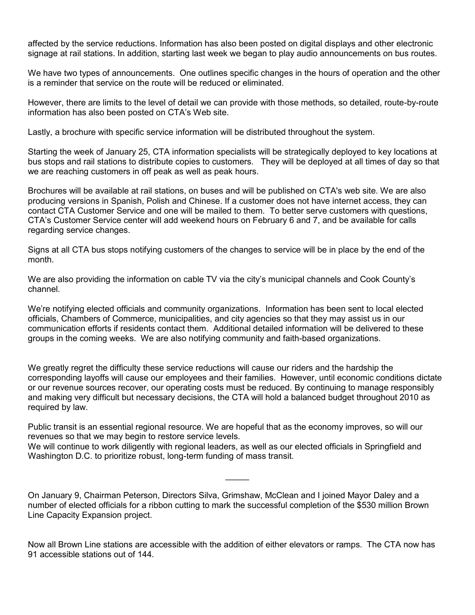affected by the service reductions. Information has also been posted on digital displays and other electronic signage at rail stations. In addition, starting last week we began to play audio announcements on bus routes.

We have two types of announcements. One outlines specific changes in the hours of operation and the other is a reminder that service on the route will be reduced or eliminated.

However, there are limits to the level of detail we can provide with those methods, so detailed, route-by-route information has also been posted on CTA's Web site.

Lastly, a brochure with specific service information will be distributed throughout the system.

Starting the week of January 25, CTA information specialists will be strategically deployed to key locations at bus stops and rail stations to distribute copies to customers. They will be deployed at all times of day so that we are reaching customers in off peak as well as peak hours.

Brochures will be available at rail stations, on buses and will be published on CTA's web site. We are also producing versions in Spanish, Polish and Chinese. If a customer does not have internet access, they can contact CTA Customer Service and one will be mailed to them. To better serve customers with questions, CTA's Customer Service center will add weekend hours on February 6 and 7, and be available for calls regarding service changes.

Signs at all CTA bus stops notifying customers of the changes to service will be in place by the end of the month.

We are also providing the information on cable TV via the city's municipal channels and Cook County's channel.

We're notifying elected officials and community organizations. Information has been sent to local elected officials, Chambers of Commerce, municipalities, and city agencies so that they may assist us in our communication efforts if residents contact them. Additional detailed information will be delivered to these groups in the coming weeks. We are also notifying community and faith-based organizations.

We greatly regret the difficulty these service reductions will cause our riders and the hardship the corresponding layoffs will cause our employees and their families. However, until economic conditions dictate or our revenue sources recover, our operating costs must be reduced. By continuing to manage responsibly and making very difficult but necessary decisions, the CTA will hold a balanced budget throughout 2010 as required by law.

Public transit is an essential regional resource. We are hopeful that as the economy improves, so will our revenues so that we may begin to restore service levels.

We will continue to work diligently with regional leaders, as well as our elected officials in Springfield and Washington D.C. to prioritize robust, long-term funding of mass transit.

On January 9, Chairman Peterson, Directors Silva, Grimshaw, McClean and I joined Mayor Daley and a number of elected officials for a ribbon cutting to mark the successful completion of the \$530 million Brown Line Capacity Expansion project.

 $\mathcal{L}$ 

Now all Brown Line stations are accessible with the addition of either elevators or ramps. The CTA now has 91 accessible stations out of 144.